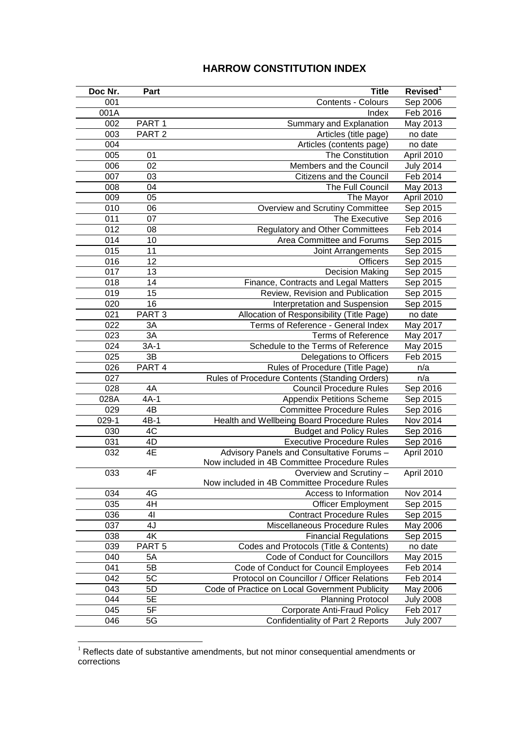## **HARROW CONSTITUTION INDEX**

| Doc Nr. | Part              | <b>Title</b>                                   | Revised <sup>1</sup> |
|---------|-------------------|------------------------------------------------|----------------------|
| 001     |                   | Contents - Colours                             | Sep 2006             |
| 001A    |                   | Index                                          | Feb 2016             |
| 002     | PART <sub>1</sub> | Summary and Explanation                        | May 2013             |
| 003     | PART <sub>2</sub> | Articles (title page)                          | no date              |
| 004     |                   | Articles (contents page)                       | no date              |
| 005     | 01                | The Constitution                               | April 2010           |
| 006     | 02                | Members and the Council                        | <b>July 2014</b>     |
| 007     | 03                | Citizens and the Council                       | Feb 2014             |
| 008     | 04                | The Full Council                               | May 2013             |
| 009     | 05                | The Mayor                                      | April 2010           |
| 010     | 06                | Overview and Scrutiny Committee                | Sep 2015             |
| 011     | 07                | The Executive                                  | Sep 2016             |
| 012     | 08                | <b>Regulatory and Other Committees</b>         | Feb 2014             |
| 014     | 10                | Area Committee and Forums                      | Sep 2015             |
| 015     | 11                | Joint Arrangements                             | Sep 2015             |
| 016     | 12                | <b>Officers</b>                                | Sep 2015             |
| 017     | 13                | <b>Decision Making</b>                         | Sep 2015             |
| 018     | 14                | Finance, Contracts and Legal Matters           | Sep 2015             |
| 019     | 15                | Review, Revision and Publication               | Sep 2015             |
| 020     | 16                | Interpretation and Suspension                  | Sep 2015             |
| 021     | PART <sub>3</sub> | Allocation of Responsibility (Title Page)      | no date              |
| 022     | 3A                | Terms of Reference - General Index             | May 2017             |
| 023     | 3A                | <b>Terms of Reference</b>                      | May 2017             |
| 024     | $3A-1$            | Schedule to the Terms of Reference             | May 2015             |
| 025     | 3B                | Delegations to Officers                        | Feb 2015             |
| 026     | PART 4            | Rules of Procedure (Title Page)                | n/a                  |
| 027     |                   | Rules of Procedure Contents (Standing Orders)  | n/a                  |
| 028     | 4A                | <b>Council Procedure Rules</b>                 | Sep 2016             |
| 028A    | $4A-1$            | <b>Appendix Petitions Scheme</b>               | Sep 2015             |
| 029     | $4\overline{B}$   | <b>Committee Procedure Rules</b>               | Sep 2016             |
| $029-1$ | $4B-1$            | Health and Wellbeing Board Procedure Rules     | Nov 2014             |
| 030     | 4C                | <b>Budget and Policy Rules</b>                 | Sep 2016             |
| 031     | 4D                | <b>Executive Procedure Rules</b>               | Sep 2016             |
| 032     | 4E                | Advisory Panels and Consultative Forums -      | April 2010           |
|         |                   | Now included in 4B Committee Procedure Rules   |                      |
| 033     | 4F                | Overview and Scrutiny -                        | April 2010           |
|         |                   | Now included in 4B Committee Procedure Rules   |                      |
| 034     | 4G                | Access to Information                          | Nov 2014             |
| 035     | 4H                | <b>Officer Employment</b>                      | Sep 2015             |
| 036     | 41                | <b>Contract Procedure Rules</b>                | Sep 2015             |
| 037     | 4J                | Miscellaneous Procedure Rules                  | May 2006             |
| 038     | 4K                | <b>Financial Regulations</b>                   | Sep 2015             |
| 039     | PART <sub>5</sub> | Codes and Protocols (Title & Contents)         | no date              |
| 040     | 5A                | Code of Conduct for Councillors                | May 2015             |
| 041     | 5B                | Code of Conduct for Council Employees          | Feb 2014             |
| 042     | 5C                | Protocol on Councillor / Officer Relations     | Feb 2014             |
| 043     | 5D                | Code of Practice on Local Government Publicity | May 2006             |
| 044     | 5E                | <b>Planning Protocol</b>                       | <b>July 2008</b>     |
| 045     | 5F                | <b>Corporate Anti-Fraud Policy</b>             | Feb 2017             |
| 046     | 5G                | Confidentiality of Part 2 Reports              | <b>July 2007</b>     |

 Reflects date of substantive amendments, but not minor consequential amendments or corrections

<u>.</u>